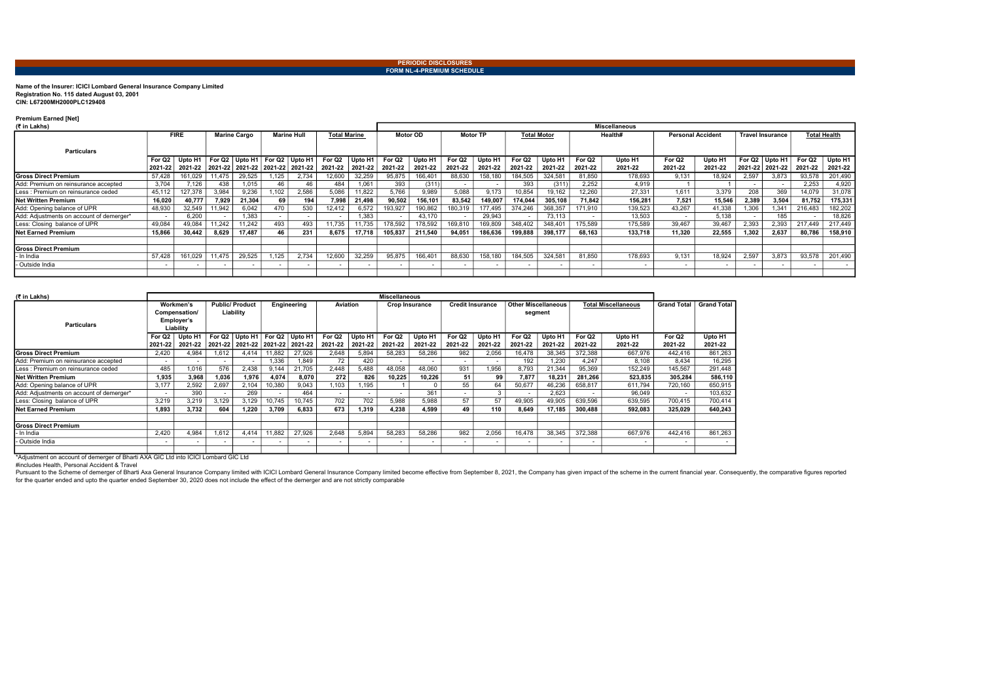## Name of the Insurer: ICICI Lombard General Insurance Company Limited Registration No. 115 dated August 03, 2001 CIN: L67200MH2000PLC129408

## Premium Earned [Net]

|--|

Pursuant to the Scheme of demerger of Bharti Axa General Insurance Company limited with ICICI Lombard General Insurance Company limited become effective from September 8, 2021, the Company has given impact of the scheme in for the quarter ended and upto the quarter ended September 30, 2020 does not include the effect of the demerger and are not strictly comparable

| (₹ in Lakhs)                             |                               |         |                     |        |                    |                                                 |                     |                      |                   |                                | <b>Miscellaneous</b>          |                    |                               |                    |                               |                    |                               |                    |                  |                                       |                     |                    |  |  |
|------------------------------------------|-------------------------------|---------|---------------------|--------|--------------------|-------------------------------------------------|---------------------|----------------------|-------------------|--------------------------------|-------------------------------|--------------------|-------------------------------|--------------------|-------------------------------|--------------------|-------------------------------|--------------------|------------------|---------------------------------------|---------------------|--------------------|--|--|
| <b>Particulars</b>                       | <b>FIRE</b>                   |         | <b>Marine Cargo</b> |        | <b>Marine Hull</b> |                                                 | <b>Total Marine</b> |                      | <b>Motor OD</b>   |                                | <b>Motor TP</b>               |                    | <b>Total Motor</b>            |                    | Health#                       |                    | <b>Personal Accident</b>      |                    | Travel Insurance |                                       | <b>Total Health</b> |                    |  |  |
|                                          | For Q <sub>2</sub><br>2021-22 |         |                     |        |                    | 2021-22   2021-22   2021-22   2021-22   2021-22 | For Q2<br>2021-22   | Upto H'<br>  2021-22 | For Q2<br>2021-22 | Upto H <sub>1</sub><br>2021-22 | For Q <sub>2</sub><br>2021-22 | Upto H1<br>2021-22 | For Q <sub>2</sub><br>2021-22 | Upto H1<br>2021-22 | For Q <sub>2</sub><br>2021-22 | Upto H1<br>2021-22 | For Q <sub>2</sub><br>2021-22 | Upto H1<br>2021-22 |                  | For $Q2$ Upto H1<br>2021-22   2021-22 | For Q2<br>2021-22   | Upto H1<br>2021-22 |  |  |
| <b>IGross Direct Premium</b>             | 57.428                        | 161,029 | 11,475              | 29.525 | 125                | 2.734                                           | 12,600              | 32,259               | 95,875            | 166,401                        | 88,630                        | 158,180            | 184,505                       | 324,581            | 81.850                        | 178,693            | 9.131                         | 18,924             | 2,597            | 3.873                                 | 93,578              | 201,490            |  |  |
| Add: Premium on reinsurance accepted     | 3.704                         | 7,126   | 438                 | 1,015  | 46                 | 46                                              | 484                 | 1,061                | 393               | (311)                          |                               |                    | 393                           | (311)              | 2,252                         | 4.919              |                               |                    |                  |                                       | 2.253               | 4,920              |  |  |
| Less : Premium on reinsurance ceded      | 45.112                        | 127,378 | 3,984               | 9.236  | ,102               | 2,586                                           | 5,086               | 11,822               | 5,766             | 9,989                          | 5,088                         | 9.173              | 10,854                        | 19,162             | 12.260                        | 27.331             | 1.611                         | 3.379              | 208              | 369                                   | 14,079              | 31,078             |  |  |
| <b>Net Written Premium</b>               | 16.020                        | 40,777  | 7,929               | 21,304 | 69                 | 194                                             | 7.998               | 21,498               | 90,502            | 156,101                        | 83,542                        | 149,007            | 174.044                       | 305,108            | 71.842                        | 156,281            | 7,521                         | 15,546             | 2,389            | 3,504                                 | 81,752              | 175,331            |  |  |
| Add: Opening balance of UPR              | 48,930                        | 32,549  | 11,942              | 6,042  | 470                | 530                                             | 12,412              | 6,572                | 193,927           | 190,862                        | 180,319                       | 177,495            | 374,246                       | 368,357            | 171,910                       | 139,523            | 43,267                        | 41,338             | 1,306            | 1,341                                 | 216,483             | 182,202            |  |  |
| Add: Adjustments on account of demerger* |                               | 6.200   |                     | .383   |                    |                                                 |                     | 1,383                |                   | 43,170                         |                               | 29,943             |                               | 73,113             |                               | 13,503             |                               | 5.138              |                  | 185                                   |                     | 18,826             |  |  |
| Less: Closing balance of UPR             | 49.084                        | 49,084  | 11.242              | 1.242  | 493                | 493                                             | 11,735              | 11,735               | 178,592           | 178,592                        | 169,810                       | 169,809            | 348,402                       | 348,401            | 175.589                       | 175,589            | 39.467                        | 39,467             | 2,393            | 2.393                                 | 217,449             | 217,449            |  |  |
| <b>INet Earned Premium</b>               | 15,866                        | 30,442  | 8.629               | 17.487 | 46                 | 231                                             | 8.675               | 17.718               | 105.837           | 211.540                        | 94.051                        | 186,636            | 199,888                       | 398.177            | 68.163                        | 133.718            | 11.320                        | 22.555             | 1,302            | 2.637                                 | 80,786              | 158,910            |  |  |
|                                          |                               |         |                     |        |                    |                                                 |                     |                      |                   |                                |                               |                    |                               |                    |                               |                    |                               |                    |                  |                                       |                     |                    |  |  |
| <b>IGross Direct Premium</b>             |                               |         |                     |        |                    |                                                 |                     |                      |                   |                                |                               |                    |                               |                    |                               |                    |                               |                    |                  |                                       |                     |                    |  |  |
| - In India                               | 57,428                        | 161,029 | 11,475              | 29,525 | .125               | 2,734                                           | 12,600              | 32,259               | 95,875            | 166,401                        | 88,630                        | 158,180            | 184,505                       | 324,581            | 81,850                        | 178,693            | 9,131                         | 18,924             | 2,597            | 3.873                                 | 93,578              | 201,490            |  |  |
| - Outside India                          |                               |         |                     |        |                    |                                                 |                     |                      |                   |                                |                               |                    |                               |                    |                               |                    |                               |                    |                  |                                       |                     |                    |  |  |
|                                          |                               |         |                     |        |                    |                                                 |                     |                      |                   |                                |                               |                    |                               |                    |                               |                    |                               |                    |                  |                                       |                     |                    |  |  |

| (₹ in Lakhs)                             |                                                       |         |                                    |                                                             |                          |         |                               |                    | <b>Miscellaneous</b>          |                          |                          |                    |                                       |                          |                               |                    |                               |                    |
|------------------------------------------|-------------------------------------------------------|---------|------------------------------------|-------------------------------------------------------------|--------------------------|---------|-------------------------------|--------------------|-------------------------------|--------------------------|--------------------------|--------------------|---------------------------------------|--------------------------|-------------------------------|--------------------|-------------------------------|--------------------|
| <b>Particulars</b>                       | Workmen's<br>Compensation/<br>Employer's<br>Liability |         | <b>Public/Product</b><br>Liability |                                                             | Engineering              |         | <b>Aviation</b>               |                    | <b>Crop Insurance</b>         |                          | <b>Credit Insurance</b>  |                    | <b>Other Miscellaneous</b><br>segment |                          | <b>Total Miscellaneous</b>    |                    | <b>Grand Total</b>            | <b>Grand Total</b> |
|                                          | For Q <sub>2</sub><br>2021-22                         | Upto H1 |                                    | For $Q2$ Upto H1<br>2021-22 2021-22 2021-22 2021-22 2021-22 | For Q2                   | Upto H1 | For Q <sub>2</sub><br>2021-22 | Upto H1<br>2021-22 | For Q <sub>2</sub><br>2021-22 | Upto H1<br>2021-22       | For Q2<br>2021-22        | Upto H1<br>2021-22 | For Q <sub>2</sub><br>2021-22         | Upto H1<br>2021-22       | For Q <sub>2</sub><br>2021-22 | Upto H1<br>2021-22 | For Q <sub>2</sub><br>2021-22 | Upto H1<br>2021-22 |
| <b>Gross Direct Premium</b>              | 2,420                                                 | 4,984   | 1,612                              | 4,414                                                       | 11,882                   | 27,926  | 2,648                         | 5,894              | 58,283                        | 58,286                   | 982                      | 2,056              | 16,478                                | 38,345                   | 372,388                       | 667,976            | 442,416                       | 861,263            |
| Add: Premium on reinsurance accepted     |                                                       |         |                                    |                                                             | 1.336                    | 1.849   | 72                            | 420                |                               | $\overline{\phantom{a}}$ | $\overline{\phantom{0}}$ |                    | 192                                   | 1.230                    | 4.247                         | 8,108              | 8.434                         | 16,295             |
| Less : Premium on reinsurance ceded      | 485                                                   | 1,016   | 576                                | 2,438                                                       | 9.144                    | 21,705  | 2,448                         | 5,488              | 48,058                        | 48,060                   | 931                      | 1,956              | 8,793                                 | 21,344                   | 95,369                        | 152,249            | 145.567                       | 291,448            |
| Net Written Premium                      | 1,935                                                 | 3,968   | 1,036                              | 1,976                                                       | 4,074                    | 8,070   | 272                           | 826                | 10,225                        | 10,226                   | 51                       | 99                 | 7,877                                 | 18,231                   | 281,266                       | 523,835            | 305,284                       | 586,110            |
| Add: Opening balance of UPR              | 3,177                                                 | 2,592   | 2,697                              | 2,104                                                       | 0,380                    | 9,043   | .103                          | 1,195              |                               |                          | 55                       | 64                 | 50,677                                | 46,236                   | 658,817                       | 611.794            | 720,160                       | 650,915            |
| Add: Adjustments on account of demerger* | . .                                                   | 390     |                                    | 269                                                         | $\overline{\phantom{a}}$ | 464     | . .                           | $\sim$             | $\overline{\phantom{a}}$      | 361                      | $\sim$                   |                    |                                       | 2.623                    |                               | 96.049             | $\sim$                        | 103,632            |
| Less: Closing balance of UPR             | 3,219                                                 | 3,219   | 3,129                              | 3,129                                                       | 10.745                   | 10,745  | 702                           | 702                | 5,988                         | 5,988                    | 57                       | 57                 | 49,905                                | 49,905                   | 639,596                       | 639,595            | 700,415                       | 700,414            |
| <b>INet Earned Premium</b>               | 1.893                                                 | 3,732   | 604                                | 1,220                                                       | 3,709                    | 6,833   | 673                           | 1,319              | 4,238                         | 4,599                    | 49                       | 110                | 8.649                                 | 17,185                   | 300,488                       | 592,083            | 325.029                       | 640.243            |
| <b>IGross Direct Premium</b>             |                                                       |         |                                    |                                                             |                          |         |                               |                    |                               |                          |                          |                    |                                       |                          |                               |                    |                               |                    |
| In India                                 | 2,420                                                 | 4,984   | 1,612                              | 4,414                                                       | 11,882                   | 27,926  | 2,648                         | 5,894              | 58,283                        | 58,286                   | 982                      | 2,056              | 16,478                                | 38,345                   | 372,388                       | 667,976            | 442.416                       | 861,263            |
| - Outside India                          |                                                       |         |                                    |                                                             | $\,$                     | $\sim$  |                               |                    |                               |                          | $\overline{\phantom{0}}$ |                    | $\,$                                  | $\overline{\phantom{0}}$ |                               |                    | $\blacksquare$                |                    |

\*Adjustment on account of demerger of Bharti AXA GIC Ltd into ICICI Lombard GIC Ltd

#includes Health, Personal Accident & Travel

#### PERIODIC DISCLOSURES FORM NL-4-PREMIUM SCHEDULE